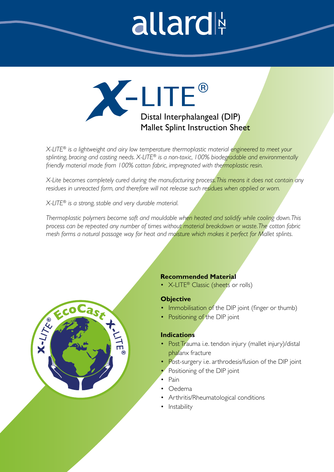# allard

Distal Interphalangeal (DIP) Mallet Splint Instruction Sheet

*X-LITE® is a lightweight and airy low temperature thermoplastic material engineered to meet your splinting, bracing and casting needs. X-LITE® is a non-toxic, 100% biodegradable and environmentally friendly material made from 100% cotton fabric, impregnated with thermoplastic resin.* 

*X-Lite becomes completely cured during the manufacturing process. This means it does not contain any residues in unreacted form, and therefore will not release such residues when applied or worn.* 

*X-LITE® is a strong, stable and very durable material.* 

ast

*Thermoplastic polymers become soft and mouldable when heated and solidify while cooling down. This process can be repeated any number of times without material breakdown or waste. The cotton fabric mesh forms a natural passage way for heat and moisture which makes it perfect for Mallet splints.* 

# **Recommended Material**

• X-LITE<sup>®</sup> Classic (sheets or rolls)

### **Objective**

- Immobilisation of the DIP joint (finger or thumb)
- Positioning of the DIP joint

# **Indications**

- Post Trauma i.e. tendon injury (mallet injury)/distal phalanx fracture
- Post-surgery i.e. arthrodesis/fusion of the DIP joint
- Positioning of the DIP joint
- Pain
- Oedema
- Arthritis/Rheumatological conditions
- Instability